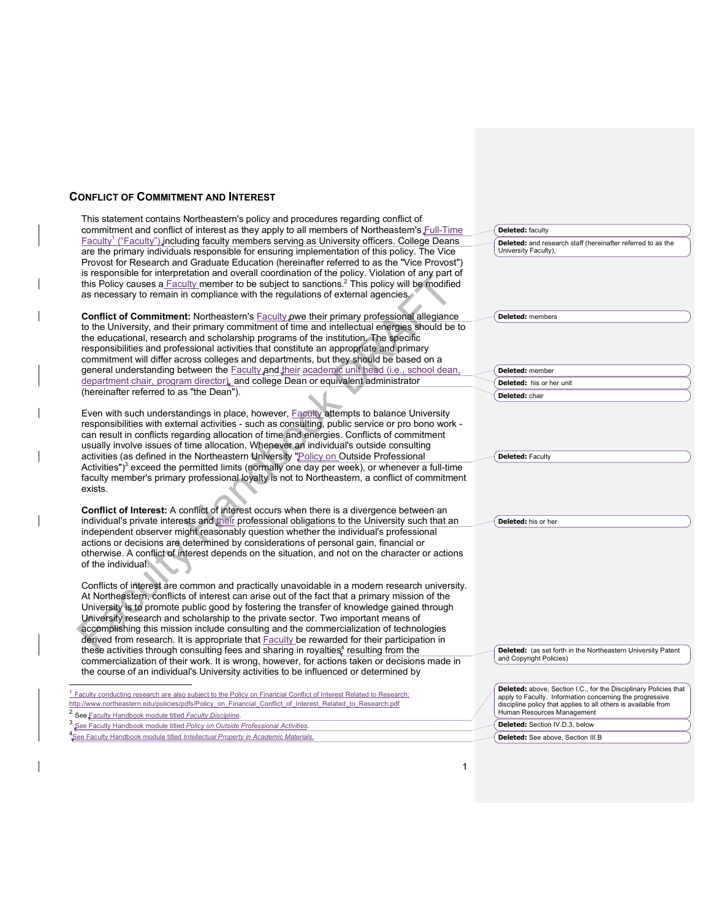## **CONFLICT OF COMMITMENT AND INTEREST**

This statement contains Northeastern's policy and procedures regarding conflict of commitment and conflict of interest as they apply to all members of Northeastern's Full-Time Faculty<sup>1</sup> ("Faculty") including faculty members serving as University officers. College Deans are the primary individuals responsible for ensuring implementation of this policy. The Vice Provost for Research and Graduate Education (hereinafter referred to as the "Vice Provost") is responsible for interpretation and overall coordination of the policy. Violation of any part of this Policy causes a Faculty member to be subject to sanctions.2 This policy will be modified as necessary to remain in compliance with the regulations of external agencies. **Conflict of Commitment:** Northeastern's Faculty owe their primary professional allegiance to the University, and their primary commitment of time and intellectual energies should be to the educational, research and scholarship programs of the institution. The specific responsibilities and professional activities that constitute an appropriate and primary commitment will differ across colleges and departments, but they should be based on a general understanding between the **Faculty and their academic unit head (i.e.**, school dean, department chair, program director), and college Dean or equivalent administrator (hereinafter referred to as "the Dean"). Even with such understandings in place, however, **Faculty** attempts to balance University responsibilities with external activities - such as consulting, public service or pro bono work can result in conflicts regarding allocation of time and energies. Conflicts of commitment usually involve issues of time allocation. Whenever an individual's outside consulting activities (as defined in the Northeastern University "Policy on Outside Professional Activities") $3$  exceed the permitted limits (normally one day per week), or whenever a full-time faculty member's primary professional loyalty is not to Northeastern, a conflict of commitment exists. **Conflict of Interest:** A conflict of interest occurs when there is a divergence between an individual's private interests and their professional obligations to the University such that an independent observer might reasonably question whether the individual's professional actions or decisions are determined by considerations of personal gain, financial or otherwise. A conflict of interest depends on the situation, and not on the character or actions of the individual. Conflicts of interest are common and practically unavoidable in a modern research university. At Northeastern, conflicts of interest can arise out of the fact that a primary mission of the University is to promote public good by fostering the transfer of knowledge gained through University research and scholarship to the private sector. Two important means of accomplishing this mission include consulting and the commercialization of technologies derived from research. It is appropriate that **Faculty** be rewarded for their participation in these activities through consulting fees and sharing in royalties<sup>4</sup> resulting from the commercialization of their work. It is wrong, however, for actions taken or decisions made in the course of an individual's University activities to be influenced or determined by  $1$  Faculty conducting research are also subject to the Policy on Financial Conflict of Interest Related to Research: http://www.northeastern.edu/policies/pdfs/Policy\_on\_Financial\_Conflict\_of\_Interest\_Related\_to\_Research.pdf <sup>2</sup> See Faculty Handbook module titled *Faculty Discipline*. <sup>3</sup> See Faculty Handbook module titled *Policy on Outside Professional Activities*. **Deleted:** faculty **Deleted:** and research staff (hereinafter referred to as the University Faculty), **Deleted:** members **Deleted:** member **Deleted:** his or her unit **Deleted:** chair **Deleted:** Faculty **Deleted:** his or her **Deleted:** (as set forth in the Northeastern University Patent and Copyright Policies) **Deleted:** above, Section I.C., for the Disciplinary Policies that apply to Faculty. Information concerning the progressive discipline policy that applies to all others is available from Human Resources Management **Deleted:** Section IV.D.3, below

4 **See Faculty Handbook module titled** *Intellectual Property in Academic Materials* 

**Deleted:** See above, Section III.B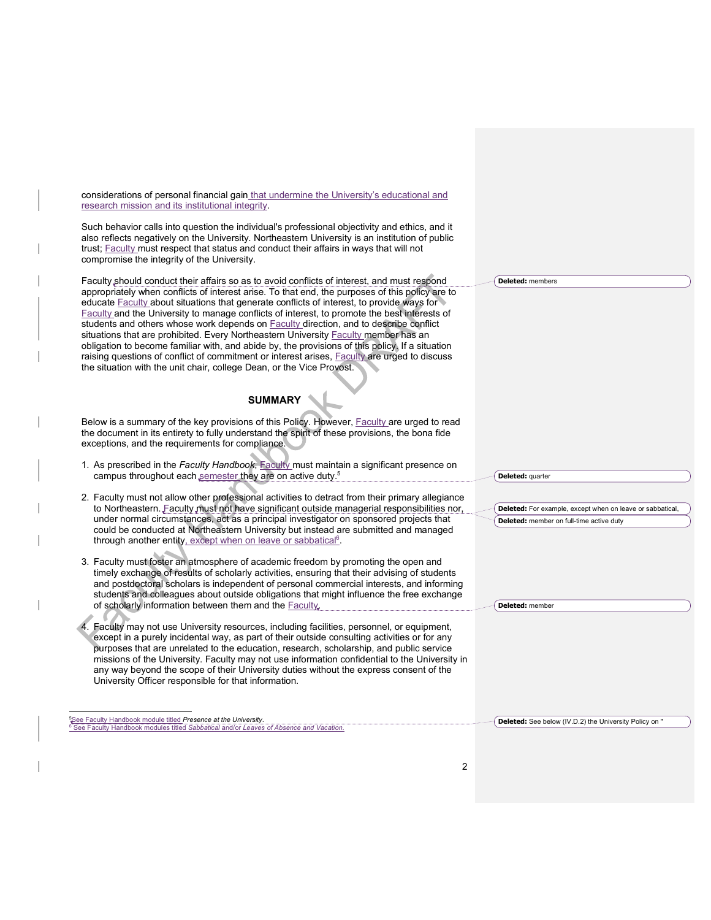considerations of personal financial gain that undermine the University's educational and research mission and its institutional integrity.

Such behavior calls into question the individual's professional objectivity and ethics, and it also reflects negatively on the University. Northeastern University is an institution of public trust; Faculty must respect that status and conduct their affairs in ways that will not compromise the integrity of the University.

Faculty should conduct their affairs so as to avoid conflicts of interest, and must respond appropriately when conflicts of interest arise. To that end, the purposes of this policy are to educate Faculty about situations that generate conflicts of interest, to provide ways for Faculty and the University to manage conflicts of interest, to promote the best interests of students and others whose work depends on **Faculty direction**, and to describe conflict situations that are prohibited. Every Northeastern University Faculty member has an obligation to become familiar with, and abide by, the provisions of this policy. If a situation raising questions of conflict of commitment or interest arises, Faculty are urged to discuss the situation with the unit chair, college Dean, or the Vice Provost.

# **SUMMARY**

Below is a summary of the key provisions of this Policy. However, Faculty are urged to read the document in its entirety to fully understand the spirit of these provisions, the bona fide exceptions, and the requirements for compliance.

- 1. As prescribed in the *Faculty Handbook*, Faculty must maintain a significant presence on campus throughout each semester they are on active duty.<sup>5</sup>
- 2. Faculty must not allow other professional activities to detract from their primary allegiance to Northeastern. Faculty must not have significant outside managerial responsibilities nor, under normal circumstances, act as a principal investigator on sponsored projects that could be conducted at Northeastern University but instead are submitted and managed through another entity, except when on leave or sabbatical<sup>6</sup>.
- 3. Faculty must foster an atmosphere of academic freedom by promoting the open and timely exchange of results of scholarly activities, ensuring that their advising of students and postdoctoral scholars is independent of personal commercial interests, and informing students and colleagues about outside obligations that might influence the free exchange of scholarly information between them and the Faculty.
- 4. Faculty may not use University resources, including facilities, personnel, or equipment, except in a purely incidental way, as part of their outside consulting activities or for any purposes that are unrelated to the education, research, scholarship, and public service missions of the University. Faculty may not use information confidential to the University in any way beyond the scope of their University duties without the express consent of the University Officer responsible for that information.

-<br>5 See Faculty Handbook module titled *Presence at the University*. <sup>6</sup> See Faculty Handbook modules titled *Sabbatical* and/or *Leaves of Absence and Vacation.* **Deleted:** members

**Deleted:** For example, except when on leave or sabbatical,

**Deleted:** member on full-time active duty

**Deleted:** member

**Deleted:** quarter

**Deleted:** See below (IV.D.2) the University Policy on "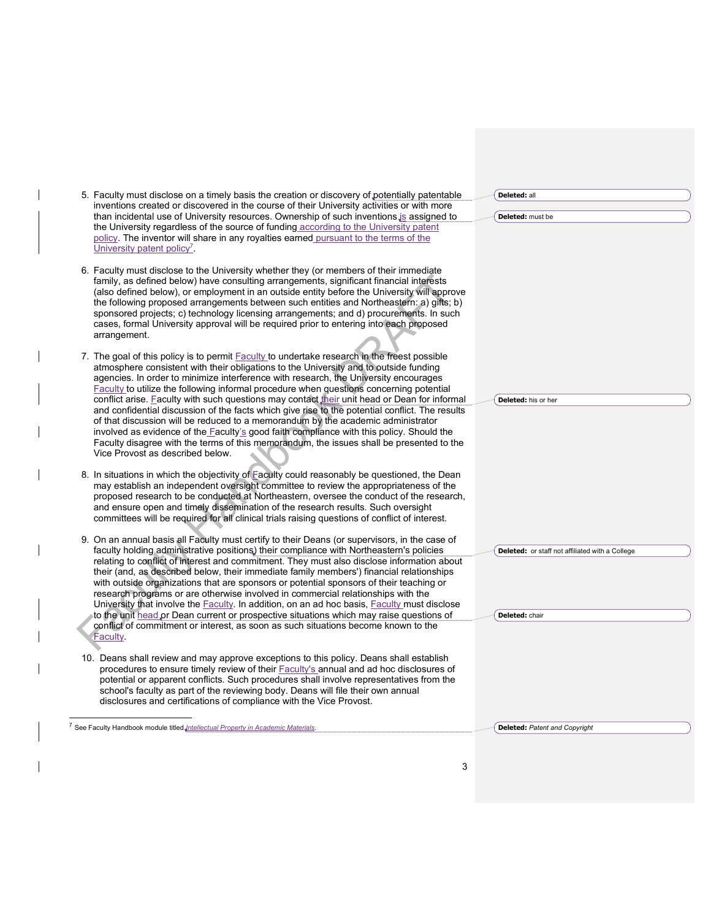|  | 5. Faculty must disclose on a timely basis the creation or discovery of potentially patentable                                                                                                                                                                                                                                                                                                                                                                                                                                                                                                                                                                   | Deleted: all                                    |
|--|------------------------------------------------------------------------------------------------------------------------------------------------------------------------------------------------------------------------------------------------------------------------------------------------------------------------------------------------------------------------------------------------------------------------------------------------------------------------------------------------------------------------------------------------------------------------------------------------------------------------------------------------------------------|-------------------------------------------------|
|  | inventions created or discovered in the course of their University activities or with more                                                                                                                                                                                                                                                                                                                                                                                                                                                                                                                                                                       |                                                 |
|  | than incidental use of University resources. Ownership of such inventions is assigned to<br>the University regardless of the source of funding according to the University patent<br>policy. The inventor will share in any royalties earned pursuant to the terms of the<br>University patent policy.                                                                                                                                                                                                                                                                                                                                                           | Deleted: must be                                |
|  | 6. Faculty must disclose to the University whether they (or members of their immediate<br>family, as defined below) have consulting arrangements, significant financial interests<br>(also defined below), or employment in an outside entity before the University will approve<br>the following proposed arrangements between such entities and Northeastern: a) gifts; b)<br>sponsored projects; c) technology licensing arrangements; and d) procurements. In such<br>cases, formal University approval will be required prior to entering into each proposed<br>arrangement.                                                                                |                                                 |
|  | 7. The goal of this policy is to permit Faculty to undertake research in the freest possible<br>atmosphere consistent with their obligations to the University and to outside funding<br>agencies. In order to minimize interference with research, the University encourages<br>Faculty to utilize the following informal procedure when guestions concerning potential                                                                                                                                                                                                                                                                                         |                                                 |
|  | conflict arise. Faculty with such questions may contact their unit head or Dean for informal<br>and confidential discussion of the facts which give rise to the potential conflict. The results<br>of that discussion will be reduced to a memorandum by the academic administrator<br>involved as evidence of the Faculty's good faith compliance with this policy. Should the<br>Faculty disagree with the terms of this memorandum, the issues shall be presented to the<br>Vice Provost as described below.                                                                                                                                                  | Deleted: his or her                             |
|  | 8. In situations in which the objectivity of Eaculty could reasonably be questioned, the Dean<br>may establish an independent oversight committee to review the appropriateness of the<br>proposed research to be conducted at Northeastern, oversee the conduct of the research,<br>and ensure open and timely dissemination of the research results. Such oversight<br>committees will be required for all clinical trials raising questions of conflict of interest.                                                                                                                                                                                          |                                                 |
|  | 9. On an annual basis all Faculty must certify to their Deans (or supervisors, in the case of<br>faculty holding administrative positions) their compliance with Northeastern's policies<br>relating to conflict of interest and commitment. They must also disclose information about<br>their (and, as described below, their immediate family members') financial relationships<br>with outside organizations that are sponsors or potential sponsors of their teaching or<br>research programs or are otherwise involved in commercial relationships with the<br>University that involve the Faculty. In addition, on an ad hoc basis, Faculty must disclose | Deleted: or staff not affiliated with a College |
|  | to the unit head or Dean current or prospective situations which may raise questions of<br>conflict of commitment or interest, as soon as such situations become known to the<br>Faculty.                                                                                                                                                                                                                                                                                                                                                                                                                                                                        | Deleted: chair                                  |
|  | 10. Deans shall review and may approve exceptions to this policy. Deans shall establish<br>procedures to ensure timely review of their Faculty's annual and ad hoc disclosures of<br>potential or apparent conflicts. Such procedures shall involve representatives from the<br>school's faculty as part of the reviewing body. Deans will file their own annual<br>disclosures and certifications of compliance with the Vice Provost.                                                                                                                                                                                                                          |                                                 |
|  |                                                                                                                                                                                                                                                                                                                                                                                                                                                                                                                                                                                                                                                                  |                                                 |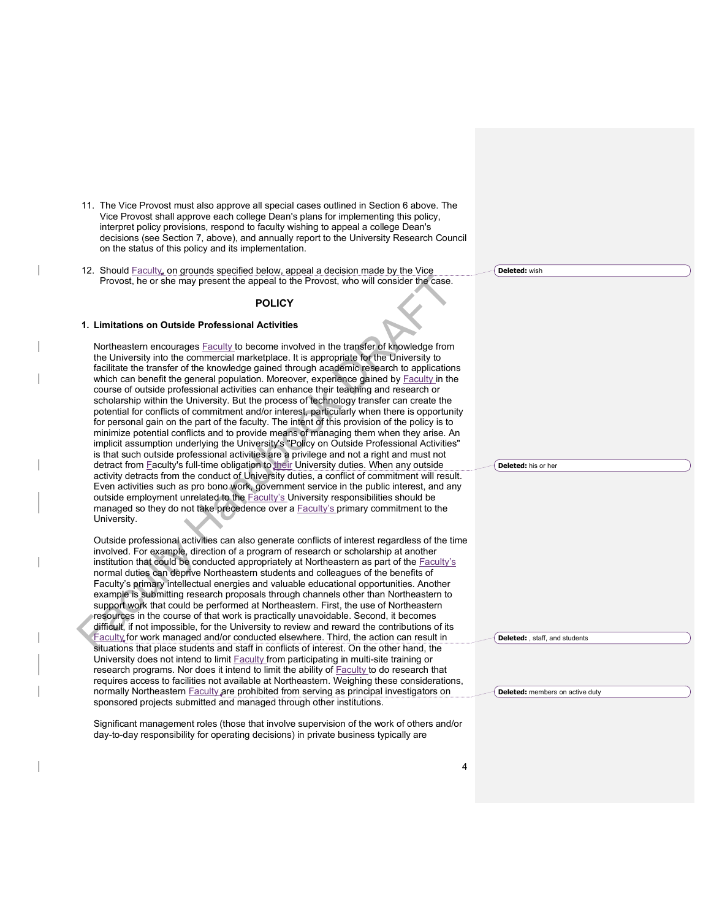- 11. The Vice Provost must also approve all special cases outlined in Section 6 above. The Vice Provost shall approve each college Dean's plans for implementing this policy, interpret policy provisions, respond to faculty wishing to appeal a college Dean's decisions (see Section 7, above), and annually report to the University Research Council on the status of this policy and its implementation.
- 12. Should Faculty, on grounds specified below, appeal a decision made by the Vice Provost, he or she may present the appeal to the Provost, who will consider the case.

### **POLICY**

## **1. Limitations on Outside Professional Activities**

Northeastern encourages **Faculty** to become involved in the transfer of knowledge from the University into the commercial marketplace. It is appropriate for the University to facilitate the transfer of the knowledge gained through academic research to applications which can benefit the general population. Moreover, experience gained by **Faculty** in the course of outside professional activities can enhance their teaching and research or scholarship within the University. But the process of technology transfer can create the potential for conflicts of commitment and/or interest, particularly when there is opportunity for personal gain on the part of the faculty. The intent of this provision of the policy is to minimize potential conflicts and to provide means of managing them when they arise. An implicit assumption underlying the University's "Policy on Outside Professional Activities" is that such outside professional activities are a privilege and not a right and must not detract from **Faculty's full-time obligation to their University duties. When any outside** activity detracts from the conduct of University duties, a conflict of commitment will result. Even activities such as pro bono work, government service in the public interest, and any outside employment unrelated to the Faculty's University responsibilities should be managed so they do not take precedence over a **Faculty's primary commitment to the** University.

Outside professional activities can also generate conflicts of interest regardless of the time involved. For example, direction of a program of research or scholarship at another institution that could be conducted appropriately at Northeastern as part of the Faculty's normal duties can deprive Northeastern students and colleagues of the benefits of Faculty's primary intellectual energies and valuable educational opportunities. Another example is submitting research proposals through channels other than Northeastern to support work that could be performed at Northeastern. First, the use of Northeastern resources in the course of that work is practically unavoidable. Second, it becomes difficult, if not impossible, for the University to review and reward the contributions of its Faculty for work managed and/or conducted elsewhere. Third, the action can result in situations that place students and staff in conflicts of interest. On the other hand, the University does not intend to limit Faculty from participating in multi-site training or research programs. Nor does it intend to limit the ability of **Faculty** to do research that requires access to facilities not available at Northeastern. Weighing these considerations, normally Northeastern Faculty are prohibited from serving as principal investigators on sponsored projects submitted and managed through other institutions.

Significant management roles (those that involve supervision of the work of others and/or day-to-day responsibility for operating decisions) in private business typically are

**Deleted:** wish

**Deleted:** his or her

**Deleted:** , staff, and students

**Deleted:** members on active duty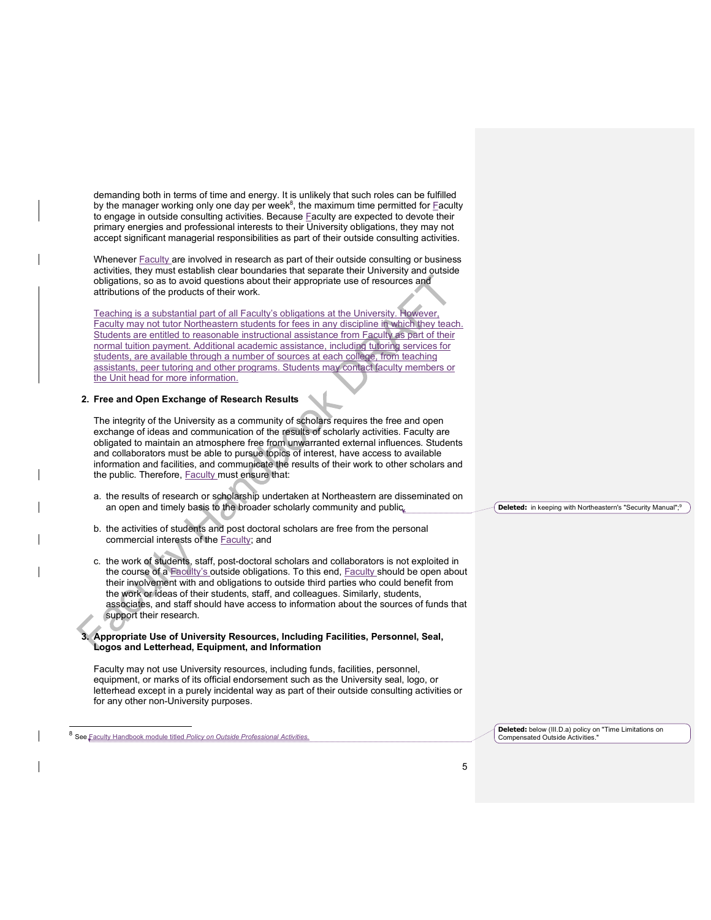demanding both in terms of time and energy. It is unlikely that such roles can be fulfilled by the manager working only one day per week $\delta$ , the maximum time permitted for Eaculty to engage in outside consulting activities. Because **Faculty are expected to devote their** primary energies and professional interests to their University obligations, they may not accept significant managerial responsibilities as part of their outside consulting activities.

Whenever **Faculty** are involved in research as part of their outside consulting or business activities, they must establish clear boundaries that separate their University and outside obligations, so as to avoid questions about their appropriate use of resources and attributions of the products of their work.

Teaching is a substantial part of all Faculty's obligations at the University. However, Faculty may not tutor Northeastern students for fees in any discipline in which they teach. Students are entitled to reasonable instructional assistance from Faculty as part of their normal tuition payment. Additional academic assistance, including tutoring services for students, are available through a number of sources at each college, from teaching assistants, peer tutoring and other programs. Students may contact faculty members or the Unit head for more information.

#### **2. Free and Open Exchange of Research Results**

The integrity of the University as a community of scholars requires the free and open exchange of ideas and communication of the results of scholarly activities. Faculty are obligated to maintain an atmosphere free from unwarranted external influences. Students and collaborators must be able to pursue topics of interest, have access to available information and facilities, and communicate the results of their work to other scholars and the public. Therefore, Faculty must ensure that:

- a. the results of research or scholarship undertaken at Northeastern are disseminated on an open and timely basis to the broader scholarly community and public.
- b. the activities of students and post doctoral scholars are free from the personal commercial interests of the Faculty; and
- c. the work of students, staff, post-doctoral scholars and collaborators is not exploited in the course of a **Faculty's outside obligations**. To this end, Faculty should be open about their involvement with and obligations to outside third parties who could benefit from the work or ideas of their students, staff, and colleagues. Similarly, students, associates, and staff should have access to information about the sources of funds that support their research.

#### **3. Appropriate Use of University Resources, Including Facilities, Personnel, Seal, Logos and Letterhead, Equipment, and Information**

Faculty may not use University resources, including funds, facilities, personnel, equipment, or marks of its official endorsement such as the University seal, logo, or letterhead except in a purely incidental way as part of their outside consulting activities or for any other non-University purposes.

Faculty Handbook module titled Policy on Outside Professional Activ

**Deleted:** below (III.D.a) policy on "Time Limitations on Compensated Outside Activities."

**Deleted:** in keeping with Northeastern's "Security Manual";9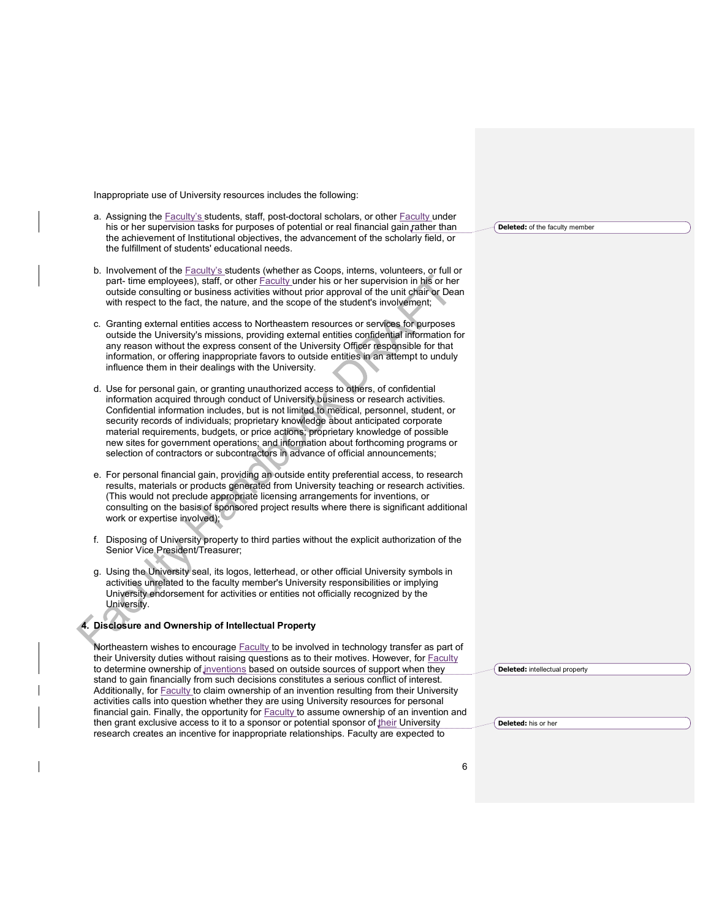Inappropriate use of University resources includes the following:

- a. Assigning the **Faculty's students, staff, post-doctoral scholars**, or other **Faculty under** his or her supervision tasks for purposes of potential or real financial gain rather than the achievement of Institutional objectives, the advancement of the scholarly field, or the fulfillment of students' educational needs.
- b. Involvement of the Faculty's students (whether as Coops, interns, volunteers, or full or part- time employees), staff, or other **Faculty under his or her supervision in his or her** outside consulting or business activities without prior approval of the unit chair or Dean with respect to the fact, the nature, and the scope of the student's involvement;
- c. Granting external entities access to Northeastern resources or services for purposes outside the University's missions, providing external entities confidential information for any reason without the express consent of the University Officer responsible for that information, or offering inappropriate favors to outside entities in an attempt to unduly influence them in their dealings with the University.
- d. Use for personal gain, or granting unauthorized access to others, of confidential information acquired through conduct of University business or research activities. Confidential information includes, but is not limited to medical, personnel, student, or security records of individuals; proprietary knowledge about anticipated corporate material requirements, budgets, or price actions; proprietary knowledge of possible new sites for government operations; and information about forthcoming programs or selection of contractors or subcontractors in advance of official announcements;
- e. For personal financial gain, providing an outside entity preferential access, to research results, materials or products generated from University teaching or research activities. (This would not preclude appropriate licensing arrangements for inventions, or consulting on the basis of sponsored project results where there is significant additional work or expertise involved);
- f. Disposing of University property to third parties without the explicit authorization of the Senior Vice President/Treasurer;
- g. Using the University seal, its logos, letterhead, or other official University symbols in activities unrelated to the faculty member's University responsibilities or implying University endorsement for activities or entities not officially recognized by the University.

# **4. Disclosure and Ownership of Intellectual Property**

Northeastern wishes to encourage Faculty to be involved in technology transfer as part of their University duties without raising questions as to their motives. However, for **Faculty** to determine ownership of inventions based on outside sources of support when they stand to gain financially from such decisions constitutes a serious conflict of interest. Additionally, for Faculty to claim ownership of an invention resulting from their University activities calls into question whether they are using University resources for personal financial gain. Finally, the opportunity for **Faculty to assume ownership of an invention** and then grant exclusive access to it to a sponsor or potential sponsor of  $\frac{f}{f}$  University research creates an incentive for inappropriate relationships. Faculty are expected to

**Deleted:** of the faculty member

**Deleted:** intellectual property

**Deleted:** his or her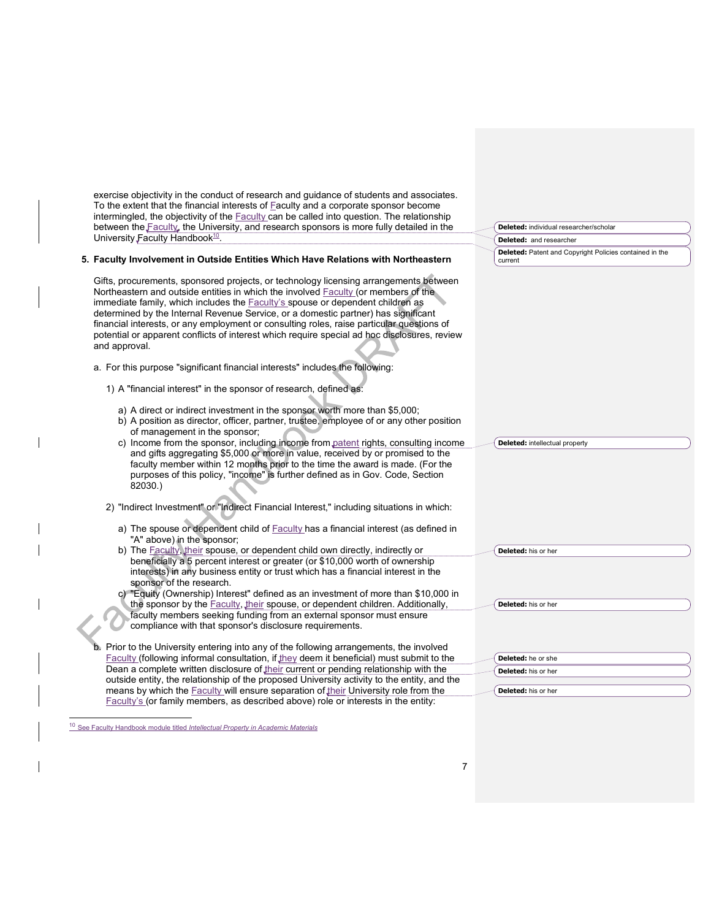| exercise objectivity in the conduct of research and guidance of students and associates.                                                                                           |                                                         |
|------------------------------------------------------------------------------------------------------------------------------------------------------------------------------------|---------------------------------------------------------|
| To the extent that the financial interests of Faculty and a corporate sponsor become<br>intermingled, the objectivity of the Faculty can be called into question. The relationship |                                                         |
| between the Faculty, the University, and research sponsors is more fully detailed in the                                                                                           | Deleted: individual researcher/scholar                  |
| University Faculty Handbook <sup>10</sup> .                                                                                                                                        | <b>Deleted:</b> and researcher                          |
|                                                                                                                                                                                    | Deleted: Patent and Copyright Policies contained in the |
| 5. Faculty Involvement in Outside Entities Which Have Relations with Northeastern                                                                                                  | current                                                 |
| Gifts, procurements, sponsored projects, or technology licensing arrangements between                                                                                              |                                                         |
| Northeastern and outside entities in which the involved Faculty (or members of the                                                                                                 |                                                         |
| immediate family, which includes the <b>Faculty's</b> spouse or dependent children as                                                                                              |                                                         |
| determined by the Internal Revenue Service, or a domestic partner) has significant                                                                                                 |                                                         |
| financial interests, or any employment or consulting roles, raise particular questions of                                                                                          |                                                         |
| potential or apparent conflicts of interest which require special ad hoc disclosures, review                                                                                       |                                                         |
| and approval.                                                                                                                                                                      |                                                         |
|                                                                                                                                                                                    |                                                         |
| a. For this purpose "significant financial interests" includes the following:                                                                                                      |                                                         |
|                                                                                                                                                                                    |                                                         |
| 1) A "financial interest" in the sponsor of research, defined as:                                                                                                                  |                                                         |
| a) A direct or indirect investment in the sponsor worth more than \$5,000;                                                                                                         |                                                         |
| b) A position as director, officer, partner, trustee, employee of or any other position                                                                                            |                                                         |
| of management in the sponsor;                                                                                                                                                      |                                                         |
| c) Income from the sponsor, including income from patent rights, consulting income                                                                                                 | <b>Deleted:</b> intellectual property                   |
| and gifts aggregating \$5,000 or more in value, received by or promised to the                                                                                                     |                                                         |
| faculty member within 12 months prior to the time the award is made. (For the                                                                                                      |                                                         |
| purposes of this policy, "income" is further defined as in Gov. Code, Section                                                                                                      |                                                         |
| 82030.)                                                                                                                                                                            |                                                         |
| 2) "Indirect Investment" or "Indirect Financial Interest," including situations in which:                                                                                          |                                                         |
|                                                                                                                                                                                    |                                                         |
| a) The spouse or dependent child of <b>Faculty</b> has a financial interest (as defined in                                                                                         |                                                         |
| "A" above) in the sponsor;                                                                                                                                                         |                                                         |
| b) The Faculty, their spouse, or dependent child own directly, indirectly or                                                                                                       | Deleted: his or her                                     |
| beneficially a 5 percent interest or greater (or \$10,000 worth of ownership                                                                                                       |                                                         |
| interests) in any business entity or trust which has a financial interest in the                                                                                                   |                                                         |
| sponsor of the research.                                                                                                                                                           |                                                         |
| c) "Equity (Ownership) Interest" defined as an investment of more than \$10,000 in<br>the sponsor by the Faculty, their spouse, or dependent children. Additionally,               | Deleted: his or her                                     |
| faculty members seeking funding from an external sponsor must ensure                                                                                                               |                                                         |
| compliance with that sponsor's disclosure requirements.                                                                                                                            |                                                         |
|                                                                                                                                                                                    |                                                         |
| Prior to the University entering into any of the following arrangements, the involved                                                                                              |                                                         |
| Faculty (following informal consultation, if they deem it beneficial) must submit to the                                                                                           | Deleted: he or she                                      |
| Dean a complete written disclosure of their current or pending relationship with the                                                                                               | Deleted: his or her                                     |
| outside entity, the relationship of the proposed University activity to the entity, and the                                                                                        |                                                         |
| means by which the <b>Faculty</b> will ensure separation of their University role from the                                                                                         | Deleted: his or her                                     |
| Faculty's (or family members, as described above) role or interests in the entity:                                                                                                 |                                                         |

 <sup>10</sup> See Faculty Handbook module titled *Intellectual Property in Academic Materials*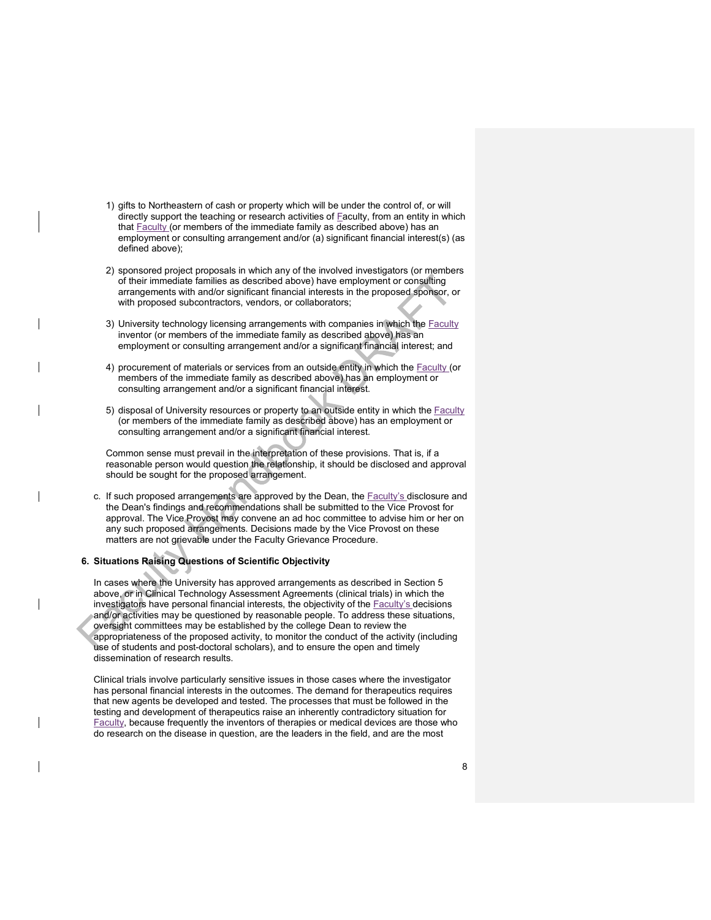- 1) gifts to Northeastern of cash or property which will be under the control of, or will directly support the teaching or research activities of **Faculty**, from an entity in which that **Faculty** (or members of the immediate family as described above) has an employment or consulting arrangement and/or (a) significant financial interest(s) (as defined above);
- 2) sponsored project proposals in which any of the involved investigators (or members of their immediate families as described above) have employment or consulting arrangements with and/or significant financial interests in the proposed sponsor, or with proposed subcontractors, vendors, or collaborators;
- 3) University technology licensing arrangements with companies in which the **Faculty** inventor (or members of the immediate family as described above) has an employment or consulting arrangement and/or a significant financial interest; and
- 4) procurement of materials or services from an outside entity in which the Faculty (or members of the immediate family as described above) has an employment or consulting arrangement and/or a significant financial interest.
- 5) disposal of University resources or property to an outside entity in which the Faculty (or members of the immediate family as described above) has an employment or consulting arrangement and/or a significant financial interest.

Common sense must prevail in the interpretation of these provisions. That is, if a reasonable person would question the relationship, it should be disclosed and approval should be sought for the proposed arrangement.

c. If such proposed arrangements are approved by the Dean, the Faculty's disclosure and the Dean's findings and recommendations shall be submitted to the Vice Provost for approval. The Vice Provost may convene an ad hoc committee to advise him or her on any such proposed arrangements. Decisions made by the Vice Provost on these matters are not grievable under the Faculty Grievance Procedure.

### **6. Situations Raising Questions of Scientific Objectivity**

In cases where the University has approved arrangements as described in Section 5 above, or in Clinical Technology Assessment Agreements (clinical trials) in which the investigators have personal financial interests, the objectivity of the Faculty's decisions and/or activities may be questioned by reasonable people. To address these situations, oversight committees may be established by the college Dean to review the appropriateness of the proposed activity, to monitor the conduct of the activity (including use of students and post-doctoral scholars), and to ensure the open and timely dissemination of research results.

Clinical trials involve particularly sensitive issues in those cases where the investigator has personal financial interests in the outcomes. The demand for therapeutics requires that new agents be developed and tested. The processes that must be followed in the testing and development of therapeutics raise an inherently contradictory situation for Faculty, because frequently the inventors of therapies or medical devices are those who do research on the disease in question, are the leaders in the field, and are the most